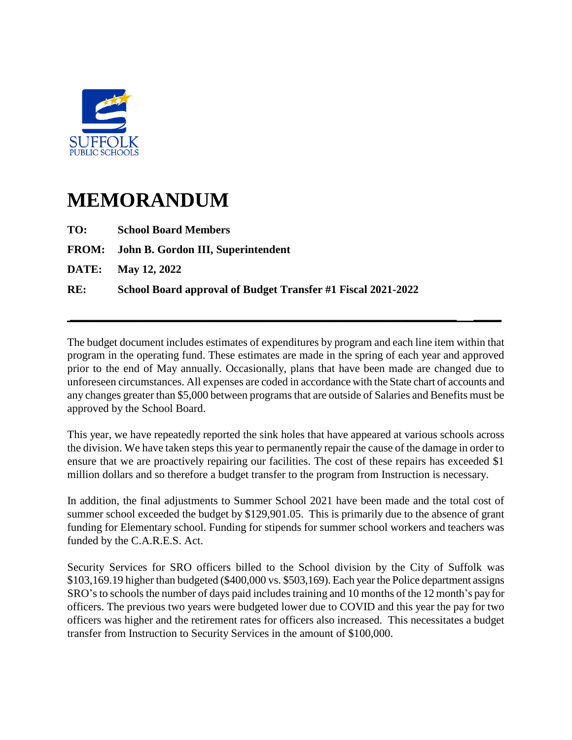

## **MEMORANDUM**

| TO: | <b>School Board Members</b>                                  |
|-----|--------------------------------------------------------------|
|     | <b>FROM:</b> John B. Gordon III, Superintendent              |
|     | <b>DATE:</b> May 12, 2022                                    |
| RE: | School Board approval of Budget Transfer #1 Fiscal 2021-2022 |
|     |                                                              |

The budget document includes estimates of expenditures by program and each line item within that program in the operating fund. These estimates are made in the spring of each year and approved prior to the end of May annually. Occasionally, plans that have been made are changed due to unforeseen circumstances. All expenses are coded in accordance with the State chart of accounts and any changes greater than \$5,000 between programs that are outside of Salaries and Benefits must be approved by the School Board.

**\_\_\_\_\_\_\_\_\_\_\_\_\_\_\_\_\_\_\_\_\_\_\_\_\_\_\_\_\_\_\_\_\_\_\_\_\_\_\_\_\_\_\_\_\_\_\_\_\_\_\_\_\_\_\_\_\_\_\_\_\_\_\_\_\_\_\_\_\_ \_\_\_\_\_**

This year, we have repeatedly reported the sink holes that have appeared at various schools across the division. We have taken steps this year to permanently repair the cause of the damage in order to ensure that we are proactively repairing our facilities. The cost of these repairs has exceeded \$1 million dollars and so therefore a budget transfer to the program from Instruction is necessary.

In addition, the final adjustments to Summer School 2021 have been made and the total cost of summer school exceeded the budget by \$129,901.05. This is primarily due to the absence of grant funding for Elementary school. Funding for stipends for summer school workers and teachers was funded by the C.A.R.E.S. Act.

Security Services for SRO officers billed to the School division by the City of Suffolk was \$103,169.19 higher than budgeted (\$400,000 vs. \$503,169). Each year the Police department assigns SRO's to schools the number of days paid includes training and 10 months of the 12 month's pay for officers. The previous two years were budgeted lower due to COVID and this year the pay for two officers was higher and the retirement rates for officers also increased. This necessitates a budget transfer from Instruction to Security Services in the amount of \$100,000.